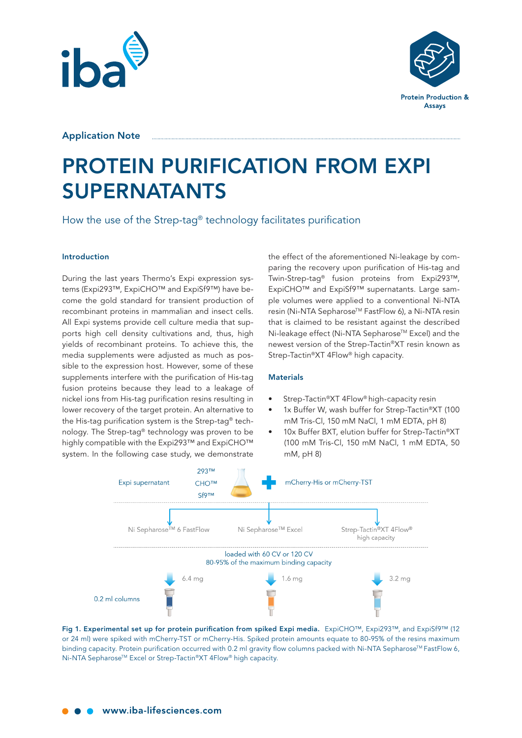



Application Note

# PROTEIN PURIFICATION FROM EXPI SUPERNATANTS

How the use of the Strep-tag® technology facilitates purification

# Introduction

During the last years Thermo's Expi expression systems (Expi293™, ExpiCHO™ and ExpiSf9™) have become the gold standard for transient production of recombinant proteins in mammalian and insect cells. All Expi systems provide cell culture media that supports high cell density cultivations and, thus, high yields of recombinant proteins. To achieve this, the media supplements were adjusted as much as possible to the expression host. However, some of these supplements interfere with the purification of His-tag fusion proteins because they lead to a leakage of nickel ions from His-tag purification resins resulting in lower recovery of the target protein. An alternative to the His-tag purification system is the Strep-tag® technology. The Strep-tag® technology was proven to be highly compatible with the Expi293™ and ExpiCHO™ system. In the following case study, we demonstrate

the effect of the aforementioned Ni-leakage by comparing the recovery upon purification of His-tag and Twin-Strep-tag® fusion proteins from Expi293™, ExpiCHO™ and ExpiSf9™ supernatants. Large sample volumes were applied to a conventional Ni-NTA resin (Ni-NTA Sepharose™ FastFlow 6), a Ni-NTA resin that is claimed to be resistant against the described Ni-leakage effect (Ni-NTA Sepharose™ Excel) and the newest version of the Strep-Tactin®XT resin known as Strep-Tactin®XT 4Flow® high capacity.

# **Materials**

- Strep-Tactin®XT 4Flow® high-capacity resin
- 1x Buffer W, wash buffer for Strep-Tactin®XT (100 mM Tris-Cl, 150 mM NaCl, 1 mM EDTA, pH 8)
- 10x Buffer BXT, elution buffer for Strep-Tactin®XT (100 mM Tris-Cl, 150 mM NaCl, 1 mM EDTA, 50 mM, pH 8)



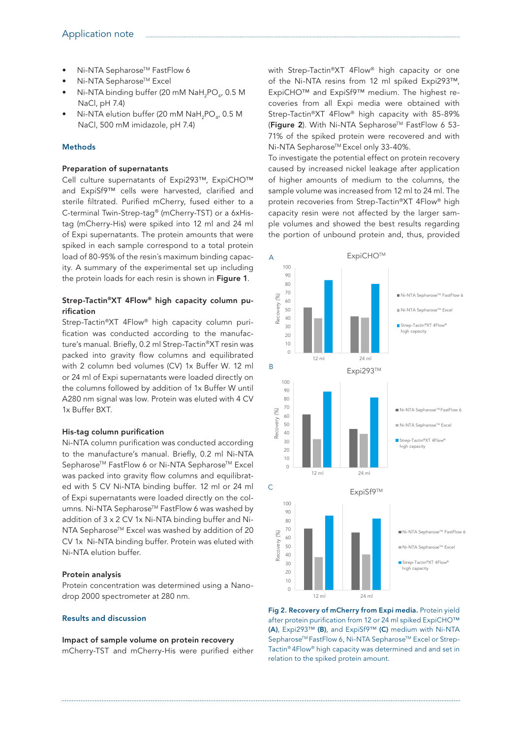- Ni-NTA Sepharose™ FastFlow 6
- Ni-NTA Sepharose™ Excel
- Ni-NTA binding buffer (20 mM  $\textsf{NaH}_{\textsf{2}}\textsf{PO}_{\textsf{4}}$ , 0.5 M NaCl, pH 7.4)
- Ni-NTA elution buffer (20 mM  $\text{NaH}_{2}\text{PO}_{4}$ , 0.5 M NaCl, 500 mM imidazole, pH 7.4)

### Methods

#### Preparation of supernatants

Cell culture supernatants of Expi293™, ExpiCHO™ and ExpiSf9™ cells were harvested, clarified and sterile filtrated. Purified mCherry, fused either to a C-terminal Twin-Strep-tag® (mCherry-TST) or a 6xHistag (mCherry-His) were spiked into 12 ml and 24 ml of Expi supernatants. The protein amounts that were spiked in each sample correspond to a total protein load of 80-95% of the resin´s maximum binding capacity. A summary of the experimental set up including the protein loads for each resin is shown in Figure 1.

# Strep-Tactin®XT 4Flow® high capacity column purification

Strep-Tactin®XT 4Flow® high capacity column purification was conducted according to the manufacture's manual. Briefly, 0.2 ml Strep-Tactin®XT resin was packed into gravity flow columns and equilibrated with 2 column bed volumes (CV) 1x Buffer W. 12 ml or 24 ml of Expi supernatants were loaded directly on the columns followed by addition of 1x Buffer W until A280 nm signal was low. Protein was eluted with 4 CV 1x Buffer BXT.

#### His-tag column purification

Ni-NTA column purification was conducted according to the manufacture's manual. Briefly, 0.2 ml Ni-NTA Sepharose™ FastFlow 6 or Ni-NTA Sepharose™ Excel was packed into gravity flow columns and equilibrated with 5 CV Ni-NTA binding buffer. 12 ml or 24 ml of Expi supernatants were loaded directly on the columns. Ni-NTA Sepharose™ FastFlow 6 was washed by addition of 3 x 2 CV 1x Ni-NTA binding buffer and Ni-NTA Sepharose™ Excel was washed by addition of 20 CV 1x Ni-NTA binding buffer. Protein was eluted with Ni-NTA elution buffer.

#### Protein analysis

Protein concentration was determined using a Nanodrop 2000 spectrometer at 280 nm.

# Results and discussion

Impact of sample volume on protein recovery mCherry-TST and mCherry-His were purified either with Strep-Tactin®XT 4Flow® high capacity or one of the Ni-NTA resins from 12 ml spiked Expi293™, ExpiCHO™ and ExpiSf9™ medium. The highest recoveries from all Expi media were obtained with Strep-Tactin®XT 4Flow® high capacity with 85-89% (Figure 2). With Ni-NTA Sepharose™ FastFlow 6 53-71% of the spiked protein were recovered and with Ni-NTA Sepharose<sup>™</sup> Excel only 33-40%.

To investigate the potential effect on protein recovery caused by increased nickel leakage after application of higher amounts of medium to the columns, the sample volume was increased from 12 ml to 24 ml. The protein recoveries from Strep-Tactin®XT 4Flow® high capacity resin were not affected by the larger sample volumes and showed the best results regarding the portion of unbound protein and, thus, provided



Fig 2. Recovery of mCherry from Expi media. Protein yield after protein purification from 12 or 24 ml spiked ExpiCHO™ (A), Expi293™ (B), and ExpiSf9™ (C) medium with Ni-NTA Sepharose<sup>™</sup> FastFlow 6, Ni-NTA Sepharose<sup>™</sup> Excel or Strep-Tactin® 4Flow® high capacity was determined and and set in relation to the spiked protein amount.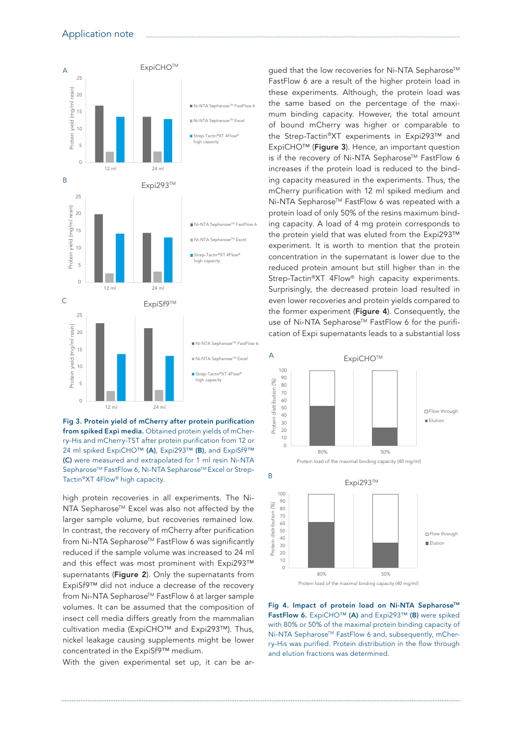

Fig 3. Protein yield of mCherry after protein purification from spiked Expi media. Obtained protein yields of mCherry-His and mCherry-TST after protein purification from 12 or 24 ml spiked ExpiCHO™ (A), Expi293™ (B), and ExpiSf9™ (C) were measured and extrapolated for 1 ml resin Ni-NTA Sepharose™ FastFlow 6, Ni-NTA Sepharose™ Excel or Strep-Tactin®XT 4Flow® high capacity.

high protein recoveries in all experiments. The Ni-NTA Sepharose™ Excel was also not affected by the larger sample volume, but recoveries remained low. In contrast, the recovery of mCherry after purification from Ni-NTA Sepharose™ FastFlow 6 was significantly reduced if the sample volume was increased to 24 ml and this effect was most prominent with Expi293™ supernatants (Figure 2). Only the supernatants from ExpiSf9™ did not induce a decrease of the recovery from Ni-NTA Sepharose™ FastFlow 6 at larger sample volumes. It can be assumed that the composition of insect cell media differs greatly from the mammalian cultivation media (ExpiCHO™ and Expi293™). Thus, nickel leakage causing supplements might be lower concentrated in the ExpiSf9™ medium.

With the given experimental set up, it can be ar-

gued that the low recoveries for Ni-NTA Sepharose™ FastFlow 6 are a result of the higher protein load in these experiments. Although, the protein load was the same based on the percentage of the maximum binding capacity. However, the total amount of bound mCherry was higher or comparable to the Strep-Tactin®XT experiments in Expi293™ and ExpiCHO™ (Figure 3). Hence, an important question is if the recovery of Ni-NTA Sepharose™ FastFlow 6 increases if the protein load is reduced to the binding capacity measured in the experiments. Thus, the mCherry purification with 12 ml spiked medium and Ni-NTA Sepharose™ FastFlow 6 was repeated with a protein load of only 50% of the resins maximum binding capacity. A load of 4 mg protein corresponds to the protein yield that was eluted from the Expi293™ experiment. It is worth to mention that the protein concentration in the supernatant is lower due to the reduced protein amount but still higher than in the Strep-Tactin®XT 4Flow® high capacity experiments. Surprisingly, the decreased protein load resulted in even lower recoveries and protein yields compared to the former experiment (Figure 4). Consequently, the use of Ni-NTA Sepharose™ FastFlow 6 for the purification of Expi supernatants leads to a substantial loss



Fig 4. Impact of protein load on Ni-NTA Sepharose™ FastFlow 6. ExpiCHO™ (A) and Expi293™ (B) were spiked with 80% or 50% of the maximal protein binding capacity of Ni-NTA Sepharose™ FastFlow 6 and, subsequently, mCherry-His was purified. Protein distribution in the flow through and elution fractions was determined.